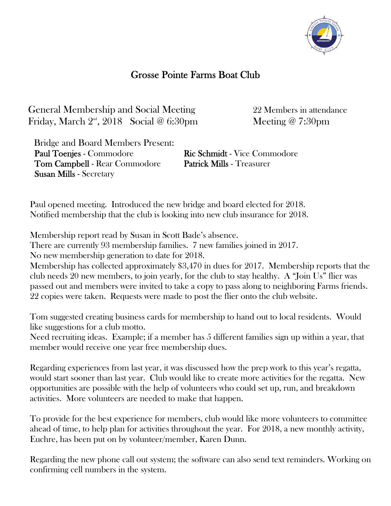

## Grosse Pointe Farms Boat Club

General Membership and Social Meeting 22 Members in attendance Friday, March  $2^{\text{nd}}$ , 2018 Social @ 6:30pm Meeting @ 7:30pm

 Bridge and Board Members Present: Paul Toenjes - Commodore Ric Schmidt - Vice Commodore Tom Campbell - Rear Commodore Patrick Mills - Treasurer Susan Mills - Secretary

Paul opened meeting. Introduced the new bridge and board elected for 2018. Notified membership that the club is looking into new club insurance for 2018.

Membership report read by Susan in Scott Bade's absence.

There are currently 93 membership families. 7 new families joined in 2017.

No new membership generation to date for 2018.

Membership has collected approximately \$3,470 in dues for 2017. Membership reports that the club needs 20 new members, to join yearly, for the club to stay healthy. A "Join Us" flier was passed out and members were invited to take a copy to pass along to neighboring Farms friends. 22 copies were taken. Requests were made to post the flier onto the club website.

Tom suggested creating business cards for membership to hand out to local residents. Would like suggestions for a club motto.

Need recruiting ideas. Example; if a member has 5 different families sign up within a year, that member would receive one year free membership dues.

Regarding experiences from last year, it was discussed how the prep work to this year's regatta, would start sooner than last year. Club would like to create more activities for the regatta. New opportunities are possible with the help of volunteers who could set up, run, and breakdown activities. More volunteers are needed to make that happen.

To provide for the best experience for members, club would like more volunteers to committee ahead of time, to help plan for activities throughout the year. For 2018, a new monthly activity, Euchre, has been put on by volunteer/member, Karen Dunn.

Regarding the new phone call out system; the software can also send text reminders. Working on confirming cell numbers in the system.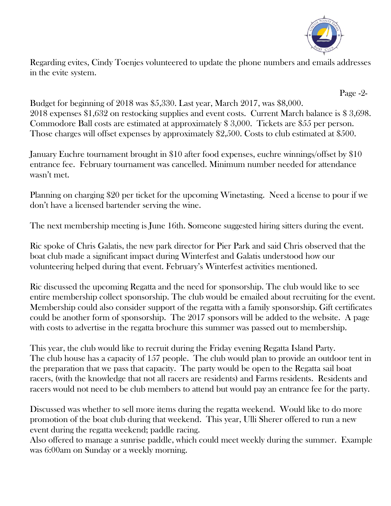

Regarding evites, Cindy Toenjes volunteered to update the phone numbers and emails addresses in the evite system.

 Page -2- Budget for beginning of 2018 was \$5,330. Last year, March 2017, was \$8,000. 2018 expenses \$1,632 on restocking supplies and event costs. Current March balance is \$ 3,698. Commodore Ball costs are estimated at approximately \$ 3,000. Tickets are \$55 per person. Those charges will offset expenses by approximately \$2,500. Costs to club estimated at \$500.

January Euchre tournament brought in \$10 after food expenses, euchre winnings/offset by \$10 entrance fee. February tournament was cancelled. Minimum number needed for attendance wasn't met.

Planning on charging \$20 per ticket for the upcoming Winetasting. Need a license to pour if we don't have a licensed bartender serving the wine.

The next membership meeting is June 16th. Someone suggested hiring sitters during the event.

Ric spoke of Chris Galatis, the new park director for Pier Park and said Chris observed that the boat club made a significant impact during Winterfest and Galatis understood how our volunteering helped during that event. February's Winterfest activities mentioned.

Ric discussed the upcoming Regatta and the need for sponsorship. The club would like to see entire membership collect sponsorship. The club would be emailed about recruiting for the event. Membership could also consider support of the regatta with a family sponsorship. Gift certificates could be another form of sponsorship. The 2017 sponsors will be added to the website. A page with costs to advertise in the regatta brochure this summer was passed out to membership.

This year, the club would like to recruit during the Friday evening Regatta Island Party. The club house has a capacity of 157 people. The club would plan to provide an outdoor tent in the preparation that we pass that capacity. The party would be open to the Regatta sail boat racers, (with the knowledge that not all racers are residents) and Farms residents. Residents and racers would not need to be club members to attend but would pay an entrance fee for the party.

Discussed was whether to sell more items during the regatta weekend. Would like to do more promotion of the boat club during that weekend. This year, Ulli Sherer offered to run a new event during the regatta weekend; paddle racing.

Also offered to manage a sunrise paddle, which could meet weekly during the summer. Example was 6:00am on Sunday or a weekly morning.